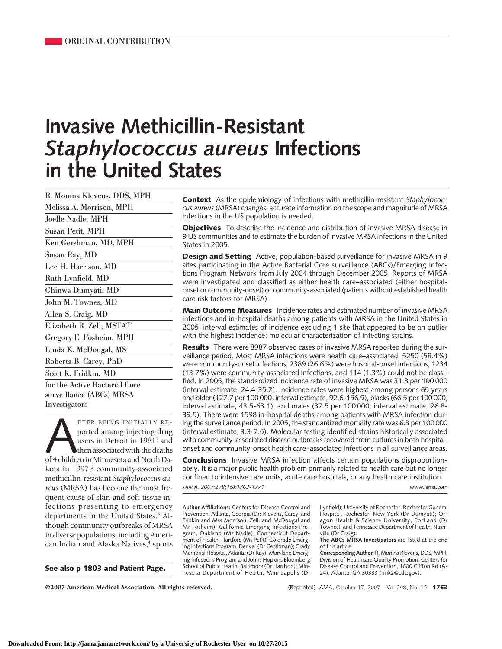# **Invasive Methicillin-Resistant** *Staphylococcus aureus* **Infections in the United States**

R. Monina Klevens, DDS, MPH Melissa A. Morrison, MPH Joelle Nadle, MPH Susan Petit, MPH Ken Gershman, MD, MPH Susan Ray, MD Lee H. Harrison, MD Ruth Lynfield, MD Ghinwa Dumyati, MD John M. Townes, MD Allen S. Craig, MD Elizabeth R. Zell, MSTAT Gregory E. Fosheim, MPH Linda K. McDougal, MS Roberta B. Carey, PhD Scott K. Fridkin, MD for the Active Bacterial Core surveillance (ABCs) MRSA Investigators

FTER BEING INITIALLY REported among injecting drug<br>users in Detroit in 1981<sup>1</sup> and<br>of 4 children in Minnesota and North Daported among injecting drug users in Detroit in 1981<sup>1</sup> and then associated with the deaths of 4 children in Minnesota and North Dakota in 1997, $2$  community-associated methicillin-resistant *Staphylococcus aureus* (MRSA) has become the most frequent cause of skin and soft tissue infections presenting to emergency departments in the United States.<sup>3</sup> Although community outbreaks of MRSA in diverse populations, including American Indian and Alaska Natives,<sup>4</sup> sports

**See also p 1803 and Patient Page.**

**Context** As the epidemiology of infections with methicillin-resistant *Staphylococcus aureus*(MRSA) changes, accurate information on the scope and magnitude of MRSA infections in the US population is needed.

**Objectives** To describe the incidence and distribution of invasive MRSA disease in 9 US communities and to estimate the burden of invasive MRSA infections in the United States in 2005.

**Design and Setting** Active, population-based surveillance for invasive MRSA in 9 sites participating in the Active Bacterial Core surveillance (ABCs)/Emerging Infections Program Network from July 2004 through December 2005. Reports of MRSA were investigated and classified as either health care–associated (either hospitalonset or community-onset) or community-associated (patients without established health care risk factors for MRSA).

**Main Outcome Measures** Incidence rates and estimated number of invasive MRSA infections and in-hospital deaths among patients with MRSA in the United States in 2005; interval estimates of incidence excluding 1 site that appeared to be an outlier with the highest incidence; molecular characterization of infecting strains.

**Results** There were 8987 observed cases of invasive MRSA reported during the surveillance period. Most MRSA infections were health care–associated: 5250 (58.4%) were community-onset infections, 2389 (26.6%) were hospital-onset infections; 1234 (13.7%) were community-associated infections, and 114 (1.3%) could not be classified. In 2005, the standardized incidence rate of invasive MRSA was 31.8 per 100 000 (interval estimate, 24.4-35.2). Incidence rates were highest among persons 65 years and older (127.7 per 100 000; interval estimate, 92.6-156.9), blacks (66.5 per 100 000; interval estimate, 43.5-63.1), and males (37.5 per 100 000; interval estimate, 26.8- 39.5). There were 1598 in-hospital deaths among patients with MRSA infection during the surveillance period. In 2005, the standardized mortality rate was 6.3 per 100 000 (interval estimate, 3.3-7.5). Molecular testing identified strains historically associated with community-associated disease outbreaks recovered from cultures in both hospitalonset and community-onset health care–associated infections in all surveillance areas.

**Conclusions** Invasive MRSA infection affects certain populations disproportionately. It is a major public health problem primarily related to health care but no longer confined to intensive care units, acute care hospitals, or any health care institution.

*JAMA. 2007;298(15):1763-1771* www.jama.com

**Author Affiliations:** Centers for Disease Control and Prevention, Atlanta, Georgia (Drs Klevens, Carey, and Fridkin and Mss Morrison, Zell, and McDougal and Mr Fosheim); California Emerging Infections Program, Oakland (Ms Nadle); Connecticut Department of Health, Hartford (Ms Petit); Colorado Emerging Infections Program, Denver (Dr Gershman); Grady Memorial Hospital, Atlanta (Dr Ray); Maryland Emerging Infections Program and Johns Hopkins Bloomberg School of Public Health, Baltimore (Dr Harrison); Minnesota Department of Health, Minneapolis (Dr Lynfield); University of Rochester, Rochester General Hospital, Rochester, New York (Dr Dumyati); Oregon Health & Science University, Portland (Dr Townes); and Tennessee Department of Health, Nashville (Dr Craig).

**Corresponding Author:** R. Monina Klevens, DDS, MPH, Division of Healthcare Quality Promotion, Centers for Disease Control and Prevention, 1600 Clifton Rd (A-24), Atlanta, GA 30333 (rmk2@cdc.gov).

**The ABCs MRSA Investigators** are listed at the end of this article.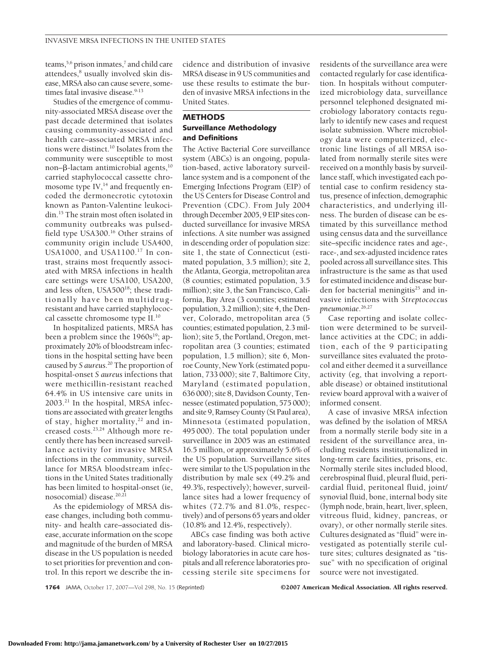teams,  $5,6$  prison inmates, $7$  and child care attendees,<sup>8</sup> usually involved skin disease, MRSA also can cause severe, sometimes fatal invasive disease.<sup>9-13</sup>

Studies of the emergence of community-associated MRSA disease over the past decade determined that isolates causing community-associated and health care–associated MRSA infections were distinct.<sup>10</sup> Isolates from the community were susceptible to most non– $\beta$ -lactam antimicrobial agents,<sup>10</sup> carried staphylococcal cassette chromosome type  $\text{IV},^{14}$  and frequently encoded the dermonecrotic cytotoxin known as Panton-Valentine leukocidin.15 The strain most often isolated in community outbreaks was pulsedfield type USA300.16 Other strains of community origin include USA400, USA1000, and USA1100.17 In contrast, strains most frequently associated with MRSA infections in health care settings were USA100, USA200, and less often, USA500<sup>18</sup>; these traditionally have been multidrugresistant and have carried staphylococcal cassette chromosome type II.10

In hospitalized patients, MRSA has been a problem since the 1960s<sup>19</sup>; approximately 20% of bloodstream infections in the hospital setting have been caused by *S aureus*. <sup>20</sup> The proportion of hospital-onset *S aureus* infections that were methicillin-resistant reached 64.4% in US intensive care units in 2003.21 In the hospital, MRSA infections are associated with greater lengths of stay, higher mortality,<sup>22</sup> and increased costs.23,24 Although more recently there has been increased surveillance activity for invasive MRSA infections in the community, surveillance for MRSA bloodstream infections in the United States traditionally has been limited to hospital-onset (ie, nosocomial) disease.<sup>20,21</sup>

As the epidemiology of MRSA disease changes, including both community- and health care–associated disease, accurate information on the scope and magnitude of the burden of MRSA disease in the US population is needed to set priorities for prevention and control. In this report we describe the incidence and distribution of invasive MRSA disease in 9 US communities and use these results to estimate the burden of invasive MRSA infections in the United States.

## **METHODS Surveillance Methodology and Definitions**

The Active Bacterial Core surveillance system (ABCs) is an ongoing, population-based, active laboratory surveillance system and is a component of the Emerging Infections Program (EIP) of the US Centers for Disease Control and Prevention (CDC). From July 2004 through December 2005, 9 EIP sites conducted surveillance for invasive MRSA infections. A site number was assigned in descending order of population size: site 1, the state of Connecticut (estimated population, 3.5 million); site 2, the Atlanta, Georgia, metropolitan area (8 counties; estimated population, 3.5 million); site 3, the San Francisco, California, Bay Area (3 counties; estimated population, 3.2 million); site 4, the Denver, Colorado, metropolitan area (5 counties; estimated population, 2.3 million); site 5, the Portland, Oregon, metropolitan area (3 counties; estimated population, 1.5 million); site 6, Monroe County, New York (estimated population, 733 000); site 7, Baltimore City, Maryland (estimated population, 636 000); site 8, Davidson County, Tennessee (estimated population, 575 000); and site 9, Ramsey County (St Paul area), Minnesota (estimated population, 495 000). The total population under surveillance in 2005 was an estimated 16.5 million, or approximately 5.6% of the US population. Surveillance sites were similar to the US population in the distribution by male sex (49.2% and 49.3%, respectively); however, surveillance sites had a lower frequency of whites (72.7% and 81.0%, respectively) and of persons 65 years and older (10.8% and 12.4%, respectively).

ABCs case finding was both active and laboratory-based. Clinical microbiology laboratories in acute care hospitals and all reference laboratories processing sterile site specimens for

residents of the surveillance area were contacted regularly for case identification. In hospitals without computerized microbiology data, surveillance personnel telephoned designated microbiology laboratory contacts regularly to identify new cases and request isolate submission. Where microbiology data were computerized, electronic line listings of all MRSA isolated from normally sterile sites were received on a monthly basis by surveillance staff, which investigated each potential case to confirm residency status, presence of infection, demographic characteristics, and underlying illness. The burden of disease can be estimated by this surveillance method using census data and the surveillance site–specific incidence rates and age-, race-, and sex-adjusted incidence rates pooled across all surveillance sites. This infrastructure is the same as that used for estimated incidence and disease burden for bacterial meningitis<sup>25</sup> and invasive infections with *Streptococcus pneumoniae*. 26,27

Case reporting and isolate collection were determined to be surveillance activities at the CDC; in addition, each of the 9 participating surveillance sites evaluated the protocol and either deemed it a surveillance activity (eg, that involving a reportable disease) or obtained institutional review board approval with a waiver of informed consent.

A case of invasive MRSA infection was defined by the isolation of MRSA from a normally sterile body site in a resident of the surveillance area, including residents institutionalized in long-term care facilities, prisons, etc. Normally sterile sites included blood, cerebrospinal fluid, pleural fluid, pericardial fluid, peritoneal fluid, joint/ synovial fluid, bone, internal body site (lymph node, brain, heart, liver, spleen, vitreous fluid, kidney, pancreas, or ovary), or other normally sterile sites. Cultures designated as "fluid" were investigated as potentially sterile culture sites; cultures designated as "tissue" with no specification of original source were not investigated.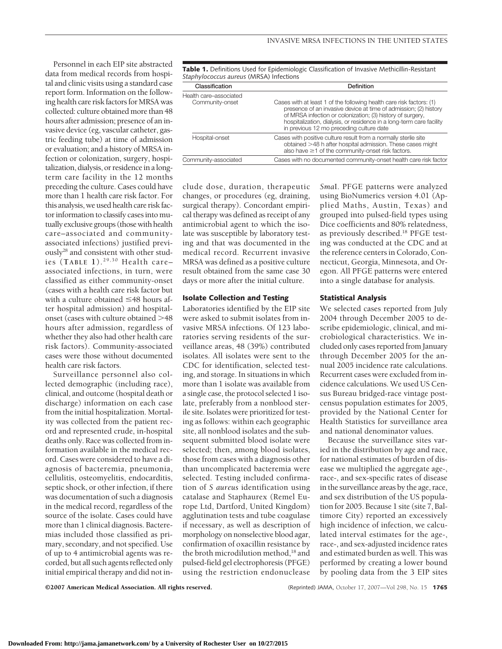Personnel in each EIP site abstracted data from medical records from hospital and clinic visits using a standard case report form. Information on the following health care risk factors for MRSA was collected: culture obtained more than 48 hours after admission; presence of an invasive device (eg, vascular catheter, gastric feeding tube) at time of admission or evaluation; and a history of MRSA infection or colonization, surgery, hospitalization, dialysis, or residence in a longterm care facility in the 12 months preceding the culture. Cases could have more than 1 health care risk factor. For this analysis, we used health care risk factor information to classify cases into mutually exclusive groups (those with health care–associated and communityassociated infections) justified previously28 and consistent with other studies (**TABLE 1**). 29,30 Health care– associated infections, in turn, were classified as either community-onset (cases with a health care risk factor but with a culture obtained  $\leq$ 48 hours after hospital admission) and hospitalonset (cases with culture obtained >48 hours after admission, regardless of whether they also had other health care risk factors). Community-associated cases were those without documented health care risk factors.

Surveillance personnel also collected demographic (including race), clinical, and outcome (hospital death or discharge) information on each case from the initial hospitalization. Mortality was collected from the patient record and represented crude, in-hospital deaths only. Race was collected from information available in the medical record. Cases were considered to have a diagnosis of bacteremia, pneumonia, cellulitis, osteomyelitis, endocarditis, septic shock, or other infection, if there was documentation of such a diagnosis in the medical record, regardless of the source of the isolate. Cases could have more than 1 clinical diagnosis. Bacteremias included those classified as primary, secondary, and not specified. Use of up to 4 antimicrobial agents was recorded, but all such agents reflected only initial empirical therapy and did not in**Table 1.** Definitions Used for Epidemiologic Classification of Invasive Methicillin-Resistant *Staphylococcus aureus* (MRSA) Infections

| Classification         | Definition                                                                                                                                                                                                                                                                                                                 |  |  |
|------------------------|----------------------------------------------------------------------------------------------------------------------------------------------------------------------------------------------------------------------------------------------------------------------------------------------------------------------------|--|--|
| Health care-associated |                                                                                                                                                                                                                                                                                                                            |  |  |
| Community-onset        | Cases with at least 1 of the following health care risk factors: (1)<br>presence of an invasive device at time of admission; (2) history<br>of MRSA infection or colonization; (3) history of surgery,<br>hospitalization, dialysis, or residence in a long-term care facility<br>in previous 12 mo preceding culture date |  |  |
| Hospital-onset         | Cases with positive culture result from a normally sterile site<br>obtained >48 h after hospital admission. These cases might<br>also have $\geq$ 1 of the community-onset risk factors.                                                                                                                                   |  |  |
| Community-associated   | Cases with no documented community-onset health care risk factor                                                                                                                                                                                                                                                           |  |  |
|                        |                                                                                                                                                                                                                                                                                                                            |  |  |

clude dose, duration, therapeutic changes, or procedures (eg, draining, surgical therapy). Concordant empirical therapy was defined as receipt of any antimicrobial agent to which the isolate was susceptible by laboratory testing and that was documented in the medical record. Recurrent invasive MRSA was defined as a positive culture result obtained from the same case 30 days or more after the initial culture.

#### **Isolate Collection and Testing**

Laboratories identified by the EIP site were asked to submit isolates from invasive MRSA infections. Of 123 laboratories serving residents of the surveillance areas, 48 (39%) contributed isolates. All isolates were sent to the CDC for identification, selected testing, and storage. In situations in which more than 1 isolate was available from a single case, the protocol selected 1 isolate, preferably from a nonblood sterile site. Isolates were prioritized for testing as follows: within each geographic site, all nonblood isolates and the subsequent submitted blood isolate were selected; then, among blood isolates, those from cases with a diagnosis other than uncomplicated bacteremia were selected. Testing included confirmation of *S aureus* identification using catalase and Staphaurex (Remel Europe Ltd, Dartford, United Kingdom) agglutination tests and tube coagulase if necessary, as well as description of morphology on nonselective blood agar, confirmation of oxacillin resistance by the broth microdilution method,<sup>18</sup> and pulsed-field gel electrophoresis (PFGE) using the restriction endonuclease

*Sma*I. PFGE patterns were analyzed using BioNumerics version 4.01 (Applied Maths, Austin, Texas) and grouped into pulsed-field types using Dice coefficients and 80% relatedness, as previously described.18 PFGE testing was conducted at the CDC and at the reference centers in Colorado, Connecticut, Georgia, Minnesota, and Oregon. All PFGE patterns were entered into a single database for analysis.

#### **Statistical Analysis**

We selected cases reported from July 2004 through December 2005 to describe epidemiologic, clinical, and microbiological characteristics. We included only cases reported from January through December 2005 for the annual 2005 incidence rate calculations. Recurrent cases were excluded from incidence calculations. We used US Census Bureau bridged-race vintage postcensus population estimates for 2005, provided by the National Center for Health Statistics for surveillance area and national denominator values.

Because the surveillance sites varied in the distribution by age and race, for national estimates of burden of disease we multiplied the aggregate age-, race-, and sex-specific rates of disease in the surveillance areas by the age, race, and sex distribution of the US population for 2005. Because 1 site (site 7, Baltimore City) reported an excessively high incidence of infection, we calculated interval estimates for the age-, race-, and sex-adjusted incidence rates and estimated burden as well. This was performed by creating a lower bound by pooling data from the 3 EIP sites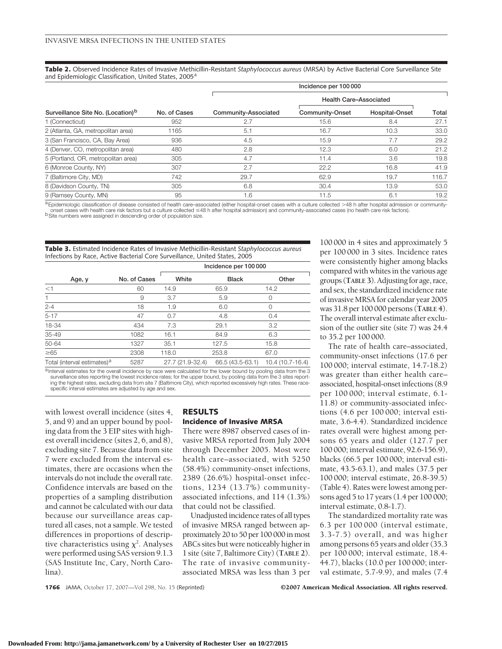**Table 2.** Observed Incidence Rates of Invasive Methicillin-Resistant *Staphylococcus aureus* (MRSA) by Active Bacterial Core Surveillance Site and Epidemiologic Classification, United States, 2005<sup>a</sup>

|                                               |              |                      | Incidence per 100 000         |                |       |
|-----------------------------------------------|--------------|----------------------|-------------------------------|----------------|-------|
|                                               |              |                      | <b>Health Care-Associated</b> |                |       |
| Surveillance Site No. (Location) <sup>b</sup> | No. of Cases | Community-Associated | Community-Onset               | Hospital-Onset | Total |
| 1 (Connecticut)                               | 952          | 2.7                  | 15.6                          | 8.4            | 27.1  |
| 2 (Atlanta, GA, metropolitan area)            | 1165         | 5.1                  | 16.7                          | 10.3           | 33.0  |
| 3 (San Francisco, CA, Bay Area)               | 936          | 4.5                  | 15.9                          | 7.7            | 29.2  |
| 4 (Denver, CO, metropolitan area)             | 480          | 2.8                  | 12.3                          | 6.0            | 21.2  |
| 5 (Portland, OR, metropolitan area)           | 305          | 4.7                  | 11.4                          | 3.6            | 19.8  |
| 6 (Monroe County, NY)                         | 307          | 2.7                  | 22.2                          | 16.8           | 41.9  |
| 7 (Baltimore City, MD)                        | 742          | 29.7                 | 62.9                          | 19.7           | 116.7 |
| 8 (Davidson County, TN)                       | 305          | 6.8                  | 30.4                          | 13.9           | 53.0  |
| 9 (Ramsey County, MN)                         | 95           | 1.6                  | 11.5                          | 6.1            | 19.2  |

<sup>a</sup>Epidemiologic classification of disease consisted of health care–associated (either hospital-onset cases with a culture collected >48 h after hospital admission or community-<br>onset cases with health care risk factors b

**Table 3.** Estimated Incidence Rates of Invasive Methicillin-Resistant *Staphylococcus aureus* Infections by Race, Active Bacterial Core Surveillance, United States, 2005

|                                         |              | Incidence per 100 000 |                  |                  |  |  |
|-----------------------------------------|--------------|-----------------------|------------------|------------------|--|--|
| Age, y                                  | No. of Cases | White                 | <b>Black</b>     | Other            |  |  |
| <1                                      | 60           | 14.9                  | 65.9             | 14.2             |  |  |
| $\mathbf{1}$                            | 9            | 3.7                   | 5.9              | 0                |  |  |
| $2 - 4$                                 | 18           | 1.9                   | 6.0              | 0                |  |  |
| $5 - 17$                                | 47           | 0.7                   | 4.8              | 0.4              |  |  |
| 18-34                                   | 434          | 7.3                   | 29.1             | 3.2              |  |  |
| $35 - 49$                               | 1082         | 16.1                  | 84.9             | 6.3              |  |  |
| 50-64                                   | 1327         | 35.1                  | 127.5            | 15.8             |  |  |
| $\geq 65$                               | 2308         | 118.0                 | 253.8            | 67.0             |  |  |
| Total (interval estimates) <sup>a</sup> | 5287         | 27.7 (21.9-32.4)      | 66.5 (43.5-63.1) | 10.4 (10.7-16.4) |  |  |

a Interval estimates for the overall incidence by race were calculated for the lower bound by pooling data from the 3 surveillance sites reporting the lowest incidence rates; for the upper bound, by pooling data from the 3 sites report-<br>ing the highest rates, excluding data from site 7 (Baltimore City), which reported excessively high rat specific interval estimates are adjusted by age and sex.

with lowest overall incidence (sites 4, 5, and 9) and an upper bound by pooling data from the 3 EIP sites with highest overall incidence (sites 2, 6, and 8), excluding site 7. Because data from site 7 were excluded from the interval estimates, there are occasions when the intervals do not include the overall rate. Confidence intervals are based on the properties of a sampling distribution and cannot be calculated with our data because our surveillance areas captured all cases, not a sample. We tested differences in proportions of descriptive characteristics using  $\chi^2$ . Analyses were performed using SAS version 9.1.3 (SAS Institute Inc, Cary, North Carolina).

### **RESULTS Incidence of Invasive MRSA**

There were 8987 observed cases of invasive MRSA reported from July 2004 through December 2005. Most were health care–associated, with 5250 (58.4%) community-onset infections, 2389 (26.6%) hospital-onset infections, 1234 (13.7%) communityassociated infections, and 114 (1.3%) that could not be classified.

Unadjusted incidence rates of all types of invasive MRSA ranged between approximately 20 to 50 per 100 000 in most ABCs sites but were noticeably higher in 1 site (site 7, Baltimore City) (**TABLE 2**). The rate of invasive communityassociated MRSA was less than 3 per

100 000 in 4 sites and approximately 5 per 100 000 in 3 sites. Incidence rates were consistently higher among blacks compared with whites in the various age groups (**TABLE 3**). Adjustingfor age, race, and sex, the standardized incidence rate of invasive MRSA for calendar year 2005 was 31.8 per 100 000 persons (**TABLE 4**). The overall interval estimate after exclusion of the outlier site (site 7) was 24.4 to 35.2 per 100 000.

The rate of health care–associated, community-onset infections (17.6 per 100 000; interval estimate, 14.7-18.2) was greater than either health care– associated, hospital-onset infections (8.9 per 100 000; interval estimate, 6.1- 11.8) or community-associated infections (4.6 per 100 000; interval estimate, 3.6-4.4). Standardized incidence rates overall were highest among persons 65 years and older (127.7 per 100 000; interval estimate, 92.6-156.9), blacks (66.5 per 100 000; interval estimate, 43.5-63.1), and males (37.5 per 100 000; interval estimate, 26.8-39.5) (Table 4). Rates were lowest among persons aged 5 to 17 years (1.4 per 100 000; interval estimate, 0.8-1.7).

The standardized mortality rate was 6.3 per 100 000 (interval estimate, 3.3-7.5) overall, and was higher among persons 65 years and older (35.3 per 100 000; interval estimate, 18.4- 44.7), blacks (10.0 per 100 000; interval estimate, 5.7-9.9), and males (7.4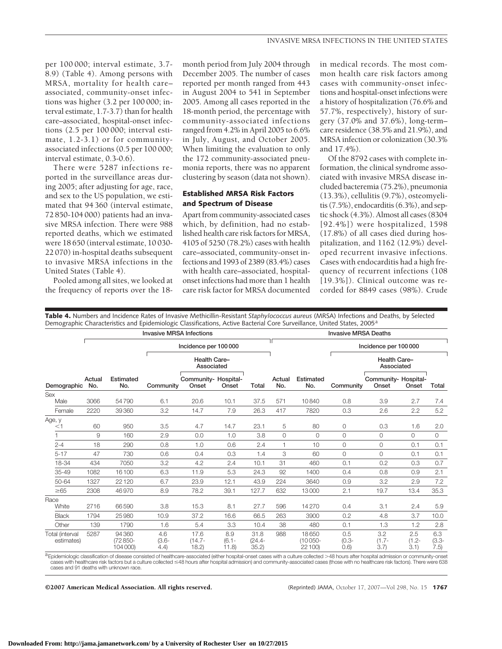per 100 000; interval estimate, 3.7- 8.9) (Table 4). Among persons with MRSA, mortality for health care– associated, community-onset infections was higher (3.2 per 100 000; interval estimate, 1.7-3.7) than for health care–associated, hospital-onset infections (2.5 per 100 000; interval estimate, 1.2-3.1) or for communityassociated infections (0.5 per 100 000; interval estimate, 0.3-0.6).

There were 5287 infections reported in the surveillance areas during 2005; after adjusting for age, race, and sex to the US population, we estimated that 94 360 (interval estimate, 72 850-104 000) patients had an invasive MRSA infection. There were 988 reported deaths, which we estimated were 18 650 (interval estimate, 10 030- 22 070) in-hospital deaths subsequent to invasive MRSA infections in the United States (Table 4).

Pooled among all sites, we looked at the frequency of reports over the 18month period from July 2004 through December 2005. The number of cases reported per month ranged from 443 in August 2004 to 541 in September 2005. Among all cases reported in the 18-month period, the percentage with community-associated infections ranged from 4.2% in April 2005 to 6.6% in July, August, and October 2005. When limiting the evaluation to only the 172 community-associated pneumonia reports, there was no apparent clustering by season (data not shown).

## **Established MRSA Risk Factors and Spectrum of Disease**

Apart from community-associated cases which, by definition, had no established health care risk factors for MRSA, 4105 of 5250 (78.2%) cases with health care–associated, community-onset infections and 1993 of 2389 (83.4%) cases with health care–associated, hospitalonset infections had more than 1 health care risk factor for MRSA documented in medical records. The most common health care risk factors among cases with community-onset infections and hospital-onset infections were a history of hospitalization (76.6% and 57.7%, respectively), history of surgery (37.0% and 37.6%), long-term– care residence (38.5% and 21.9%), and MRSA infection or colonization (30.3% and 17.4%).

Of the 8792 cases with complete information, the clinical syndrome associated with invasive MRSA disease included bacteremia (75.2%), pneumonia (13.3%), cellulitis (9.7%), osteomyelitis (7.5%), endocarditis (6.3%), and septic shock (4.3%). Almost all cases (8304 [92.4%]) were hospitalized, 1598 (17.8%) of all cases died during hospitalization, and 1162 (12.9%) developed recurrent invasive infections. Cases with endocarditis had a high frequency of recurrent infections (108 [19.3%]). Clinical outcome was recorded for 8849 cases (98%). Crude

**Table 4.** Numbers and Incidence Rates of Invasive Methicillin-Resistant *Staphylococcus aureus* (MRSA) Infections and Deaths, by Selected Demographic Characteristics and Epidemiologic Classifications, Active Bacterial Core Surveillance, United States, 2005<sup>a</sup>

|                                                                                    |               |                                | <b>Invasive MRSA Infections</b> |                               |                         | <b>Invasive MRSA Deaths</b> |               |                                |                          |                                   |                         |                         |
|------------------------------------------------------------------------------------|---------------|--------------------------------|---------------------------------|-------------------------------|-------------------------|-----------------------------|---------------|--------------------------------|--------------------------|-----------------------------------|-------------------------|-------------------------|
|                                                                                    |               |                                |                                 | Incidence per 100 000         |                         |                             |               |                                |                          | Incidence per 100 000             |                         |                         |
| Demographic                                                                        |               |                                |                                 | Health Care-<br>Associated    |                         |                             |               |                                |                          | <b>Health Care-</b><br>Associated |                         |                         |
|                                                                                    | Actual<br>No. | Estimated<br>No.               | Community                       | Community- Hospital-<br>Onset | Onset                   | Total                       | Actual<br>No. | Estimated<br>No.               | Community                | Community- Hospital-<br>Onset     | Onset                   | Total                   |
| <b>Sex</b>                                                                         |               |                                |                                 |                               |                         |                             |               |                                |                          |                                   |                         |                         |
| Male                                                                               | 3066          | 54790                          | 6.1                             | 20.6                          | 10.1                    | 37.5                        | 571           | 10840                          | 0.8                      | 3.9                               | 2.7                     | 7.4                     |
| Female                                                                             | 2220          | 39 360                         | 3.2                             | 14.7                          | 7.9                     | 26.3                        | 417           | 7820                           | 0.3                      | 2.6                               | 2.2                     | 5.2                     |
| Age, y<br>$<$ 1                                                                    | 60            | 950                            | 3.5                             | 4.7                           | 14.7                    | 23.1                        | 5             | 80                             | 0                        | 0.3                               | 1.6                     | 2.0                     |
|                                                                                    | 9             | 160                            | 2.9                             | 0.0                           | 1.0                     | 3.8                         | 0             | $\Omega$                       | $\circ$                  | 0                                 | 0                       | $\Omega$                |
| $2 - 4$                                                                            | 18            | 290                            | 0.8                             | 1.0                           | 0.6                     | 2.4                         | 1             | 10                             | $\mathbf 0$              | $\circ$                           | 0.1                     | 0.1                     |
| $5 - 17$                                                                           | 47            | 730                            | 0.6                             | 0.4                           | 0.3                     | 1.4                         | 3             | 60                             | $\circ$                  | 0                                 | 0.1                     | 0.1                     |
| 18-34                                                                              | 434           | 7050                           | 3.2                             | 4.2                           | 2.4                     | 10.1                        | 31            | 460                            | 0.1                      | 0.2                               | 0.3                     | 0.7                     |
| 35-49                                                                              | 1082          | 16100                          | 6.3                             | 11.9                          | 5.3                     | 24.3                        | 92            | 1400                           | 0.4                      | 0.8                               | 0.9                     | 2.1                     |
| 50-64                                                                              | 1327          | 22 1 20                        | 6.7                             | 23.9                          | 12.1                    | 43.9                        | 224           | 3640                           | 0.9                      | 3.2                               | 2.9                     | 7.2                     |
| $\geq 65$                                                                          | 2308          | 46970                          | 8.9                             | 78.2                          | 39.1                    | 127.7                       | 632           | 13000                          | 2.1                      | 19.7                              | 13.4                    | 35.3                    |
| Race<br>White                                                                      | 2716          | 66590                          | 3.8                             | 15.3                          | 8.1                     | 27.7                        | 596           | 14270                          | 0.4                      | 3.1                               | 2.4                     | 5.9                     |
| <b>Black</b>                                                                       | 1794          | 25 9 80                        | 10.9                            | 37.2                          | 16.6                    | 66.5                        | 263           | 3900                           | 0.2                      | 4.8                               | 3.7                     | 10.0                    |
| Other                                                                              | 139           | 1790                           | 1.6                             | 5.4                           | 3.3                     | 10.4                        | 38            | 480                            | 0.1                      | 1.3                               | 1.2                     | 2.8                     |
| Total (interval<br>estimates)<br>$\cap$ $ \cdot$ $\cdot$ $ \cdot$ $\cdot$ $ \cdot$ | 5287          | 94 360<br>(72 850-<br>104 000) | 4.6<br>$(3.6 -$<br>(4.4)        | 17.6<br>$(14.7 -$<br>18.2)    | 8.9<br>$(6.1 -$<br>11.8 | 31.8<br>$(24.4 -$<br>35.2   | 988           | 18650<br>$(10050 -$<br>22 100) | 0.5<br>$(0.3 -$<br>(0.6) | 3.2<br>$(1.7 -$<br>3.7            | 2.5<br>$(1.2 -$<br>3.1) | 6.3<br>$(3.3 -$<br>7.5) |

aEpidemiologic classification of disease consisted of healthcare-associated (either hospital-onset cases with a culture collected >48 hours after hospital admission or community-onset cases with healthcare risk factors but a culture collected ≤48 hours after hospital admission) and community-associated cases (those with no healthcare risk factors). There were 638 cases and 91 deaths with unknown race.

©2007 American Medical Association. All rights reserved. (Reprinted) JAMA, October 17, 2007—Vol 298, No. 15 **1767**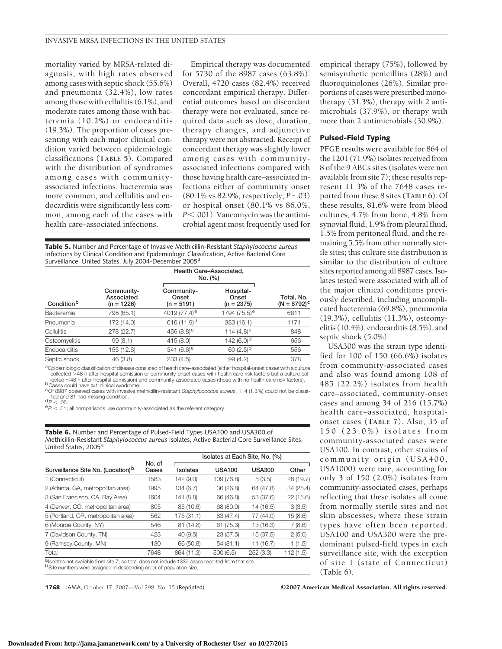mortality varied by MRSA-related diagnosis, with high rates observed among cases with septic shock (55.6%) and pneumonia (32.4%), low rates among those with cellulitis (6.1%), and moderate rates among those with bacteremia (10.2%) or endocarditis (19.3%). The proportion of cases presenting with each major clinical condition varied between epidemiologic classifications (**TABLE 5**). Compared with the distribution of syndromes among cases with communityassociated infections, bacteremia was more common, and cellulitis and endocarditis were significantly less common, among each of the cases with health care–associated infections.

Empirical therapy was documented for 5730 of the 8987 cases (63.8%). Overall, 4720 cases (82.4%) received concordant empirical therapy. Differential outcomes based on discordant therapy were not evaluated, since required data such as dose, duration, therapy changes, and adjunctive therapy were not abstracted. Receipt of concordant therapy was slightly lower among cases with communityassociated infections compared with those having health care–associated infections either of community onset (80.1% vs 82.9%, respectively; *P*=.03) or hospital onset (80.1% vs 86.0%, *P*.001). Vancomycin was the antimicrobial agent most frequently used for

**Table 5.** Number and Percentage of Invasive Methicillin-Resistant *Staphylococcus aureus* Infections by Clinical Condition and Epidemiologic Classification, Active Bacterial Core Surveillance, United States, July 2004-December 2005<sup>a</sup>

| Condition <sup>b</sup> |                                          | Health Care-Associated,<br>No. (%)  |                                    |                              |
|------------------------|------------------------------------------|-------------------------------------|------------------------------------|------------------------------|
|                        | Community-<br>Associated<br>$(n = 1226)$ | Community-<br>Onset<br>$(n = 5191)$ | Hospital-<br>Onset<br>$(n = 2375)$ | Total, No.<br>$(N = 8792)^c$ |
| Bacteremia             | 798 (65.1)                               | 4019 $(77.4)$ <sup>e</sup>          | 1794 (75.5) <sup>e</sup>           | 6611                         |
| Pneumonia              | 172 (14.0)                               | 616 $(11.9)$ <sup>d</sup>           | 383 (16.1)                         | 1171                         |
| Cellulitis             | 278 (22.7)                               | 456 $(8.8)$ <sup>e</sup>            | 114 $(4.8)$ <sup>e</sup>           | 848                          |
| Osteomyelitis          | 99(8.1)                                  | 415 (8.0)                           | 142 $(6.0)^d$                      | 656                          |
| Endocarditis           | 155 (12.6)                               | 341 $(6.6)^e$                       | 60 $(2.5)^d$                       | 556                          |
| Septic shock           | 46 (3.8)                                 | 233(4.5)                            | 99 (4.2)                           | 378                          |

a Epidemiologic classification of disease consisted of health care–associated (either hospital-onset cases with a culture collected >48 h after hospital admission or community-onset cases with health care risk factors but a culture collected  $\leq$ 48 h after hospital admission) and community-associated cases (those with no health care risk factors).<br><sup>b</sup>Cases could have  $\geq$ 1 clinical syndrome.

<sup>C</sup>Of 8987 observed cases with invasive methicillin-resistant Staphylococcus aureus, 114 (1.3%) could not be classified and 81 had missing condition.<br>  $dP < .05$ .

 $\text{P}_P$  < .01; all comparisons use community-associated as the referent category.

**Table 6.** Number and Percentage of Pulsed-Field Types USA100 and USA300 of Methicillin-Resistant *Staphylococcus aureus* Isolates, Active Bacterial Core Surveillance Sites, United States, 2005<sup>a</sup>

|                                                                                                                                                                                       |                 | Isolates at Each Site, No. (%) |               |               |           |  |  |
|---------------------------------------------------------------------------------------------------------------------------------------------------------------------------------------|-----------------|--------------------------------|---------------|---------------|-----------|--|--|
| Surveillance Site No. (Location) <sup>b</sup>                                                                                                                                         | No. of<br>Cases | <b>Isolates</b>                | <b>USA100</b> | <b>USA300</b> | Other     |  |  |
| 1 (Connecticut)                                                                                                                                                                       | 1583            | 142 (9.0)                      | 109 (76.8)    | 5(3.5)        | 28 (19.7) |  |  |
| 2 (Atlanta, GA, metropolitan area)                                                                                                                                                    | 1995            | 134 (6.7)                      | 36(26.8)      | 64 (47.8)     | 34(25.4)  |  |  |
| 3 (San Francisco, CA, Bay Area)                                                                                                                                                       | 1604            | 141 (8.8)                      | 66 (46.8)     | 53 (37.6)     | 22(15.6)  |  |  |
| 4 (Denver, CO, metropolitan area)                                                                                                                                                     | 805             | 85 (10.6)                      | 68 (80.0)     | 14 (16.5)     | 3(3.5)    |  |  |
| 5 (Portland, OR, metropolitan area)                                                                                                                                                   | 562             | 175 (31.1)                     | 83 (47.4)     | 77 (44.0)     | 15(8.6)   |  |  |
| 6 (Monroe County, NY)                                                                                                                                                                 | 546             | 81 (14.8)                      | 61(75.3)      | 13 (16.3)     | 7(8.6)    |  |  |
| 7 (Davidson County, TN)                                                                                                                                                               | 423             | 40(9.5)                        | 23(57.5)      | 15 (37.5)     | 2(5.0)    |  |  |
| 9 (Ramsey County, MN)                                                                                                                                                                 | 130             | 66 (50.8)                      | 54(81.1)      | 11 (16.7)     | 1(1.5)    |  |  |
| Total                                                                                                                                                                                 | 7648            | 864 (11.3)                     | 500(6.5)      | 252(3.3)      | 112(1.5)  |  |  |
| alsolates not available from site 7, so total does not include 1339 cases reported from that site.<br><sup>b</sup> Site numbers were assigned in descending order of population size. |                 |                                |               |               |           |  |  |

empirical therapy (75%), followed by semisynthetic penicillins (28%) and fluoroquinolones (26%). Similar proportions of cases were prescribed monotherapy (31.3%), therapy with 2 antimicrobials (37.9%), or therapy with more than 2 antimicrobials (30.9%).

#### **Pulsed-Field Typing**

PFGE results were available for 864 of the 1201 (71.9%) isolates received from 8 of the 9 ABCs sites (isolates were not available from site 7); these results represent 11.3% of the 7648 cases reported from these 8 sites (**TABLE 6**). Of these results, 81.6% were from blood cultures, 4.7% from bone, 4.8% from synovial fluid, 1.9% from pleural fluid, 1.5% from peritoneal fluid, and the remaining 5.5% from other normally sterile sites; this culture site distribution is similar to the distribution of culture sites reported among all 8987 cases. Isolates tested were associated with all of the major clinical conditions previously described, including uncomplicated bacteremia (69.8%), pneumonia (19.3%), cellulitis (11.3%), osteomyelitis (10.4%), endocarditis (8.5%), and septic shock (5.0%).

USA300 was the strain type identified for 100 of 150 (66.6%) isolates from community-associated cases and also was found among 108 of 485 (22.2%) isolates from health care–associated, community-onset cases and among 34 of 216 (15.7%) health care–associated, hospitalonset cases (**TABLE 7**). Also, 35 of 150 (23.0%) isolates from community-associated cases were USA100. In contrast, other strains of community origin (USA400, USA1000) were rare, accounting for only 3 of 150 (2.0%) isolates from community-associated cases, perhaps reflecting that these isolates all come from normally sterile sites and not skin abscesses, where these strain types have often been reported. USA100 and USA300 were the predominant pulsed-field types in each surveillance site, with the exception of site 1 (state of Connecticut) (Table 6).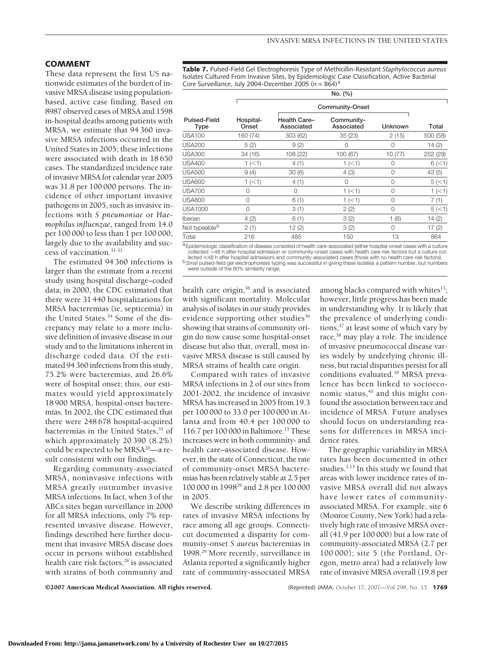#### **COMMENT**

These data represent the first US nationwide estimates of the burden of invasive MRSA disease using populationbased, active case finding. Based on 8987 observed cases of MRSA and 1598 in-hospital deaths among patients with MRSA, we estimate that 94 360 invasive MRSA infections occurred in the United States in 2005; these infections were associated with death in 18 650 cases. The standardized incidence rate of invasive MRSA for calendar year 2005 was 31.8 per 100 000 persons. The incidence of other important invasive pathogens in 2005, such as invasive infections with *S pneumoniae* or *Haemophilus influenzae*, ranged from 14.0 per 100 000 to less than 1 per 100 000, largely due to the availability and success of vaccination.31-33

The estimated 94 360 infections is larger than the estimate from a recent study using hospital discharge–coded data; in 2000, the CDC estimated that there were 31 440 hospitalizations for MRSA bacteremias (ie, septicemia) in the United States.<sup>34</sup> Some of the discrepancy may relate to a more inclusive definition of invasive disease in our study and to the limitations inherent in discharge coded data. Of the estimated 94 360 infections from this study, 75.2% were bacteremias, and 26.6% were of hospital onset; thus, our estimates would yield approximately 18 900 MRSA, hospital-onset bacteremias. In 2002, the CDC estimated that there were 248 678 hospital-acquired bacteremias in the United States,<sup>35</sup> of which approximately 20 390 (8.2%) could be expected to be MRSA<sup>20</sup>—a result consistent with our findings.

Regarding community-associated MRSA, noninvasive infections with MRSA greatly outnumber invasive MRSA infections. In fact, when 3 of the ABCs sites began surveillance in 2000 for all MRSA infections, only 7% represented invasive disease. However, findings described here further document that invasive MRSA disease does occur in persons without established health care risk factors,<sup>28</sup> is associated with strains of both community and

**Table 7.** Pulsed-Field Gel Electrophoresis Type of Methicillin-Resistant *Staphylococcus aureus* Isolates Cultured From Invasive Sites, by Epidemiologic Case Classification, Active Bacterial Core Surveillance, July 2004-December 2005 (n =  $864$ )<sup>a</sup>

|                           |                    |                                                                                                                            | No. (%)                  |          |                 |  |  |
|---------------------------|--------------------|----------------------------------------------------------------------------------------------------------------------------|--------------------------|----------|-----------------|--|--|
|                           | Community-Onset    |                                                                                                                            |                          |          |                 |  |  |
| Pulsed-Field<br>Type      | Hospital-<br>Onset | Health Care-<br>Associated                                                                                                 | Community-<br>Associated | Unknown  | Total           |  |  |
| <b>USA100</b>             | 160 (74)           | 303 (62)                                                                                                                   | 35(23)                   | 2(15)    | 500 (58)        |  |  |
| <b>USA200</b>             | 5(2)               | 9(2)                                                                                                                       | $\Omega$                 | $\Omega$ | 14(2)           |  |  |
| <b>USA300</b>             | 34 (16)            | 108 (22)                                                                                                                   | 100 (67)                 | 10(77)   | 252 (29)        |  |  |
| <b>USA400</b>             | 1 (< 1)            | 4(1)                                                                                                                       | 1 (< 1)                  | 0        | 6(<1)           |  |  |
| <b>USA500</b>             | 9(4)               | 30(6)                                                                                                                      | 4(3)                     | 0        | 43(5)           |  |  |
| <b>USA600</b>             | 1 (< 1)            | 4(1)                                                                                                                       | 0                        | 0        | 5 (< 1)         |  |  |
| <b>USA700</b>             | $\Omega$           | $\Omega$                                                                                                                   | 1 (< 1)                  | $\Omega$ | $1$ ( $\leq$ 1) |  |  |
| <b>USA800</b>             | $\Omega$           | 6(1)                                                                                                                       | 1 (< 1)                  | $\Omega$ | 7(1)            |  |  |
| <b>USA1000</b>            | O                  | 3(1)                                                                                                                       | 2(2)                     | O        | 5 (< 1)         |  |  |
| Iberian                   | 4(2)               | 6(1)                                                                                                                       | 3(2)                     | 1(8)     | 14(2)           |  |  |
| Not typeable <sup>b</sup> | 2(1)               | 12(2)                                                                                                                      | 3(2)                     | $\Omega$ | 17(2)           |  |  |
| Total                     | 216                | 485                                                                                                                        | 150                      | 13       | 864             |  |  |
|                           |                    | a Enidemialacie eleccification of disease consisted of boolth care associated (oither becaute), apost coses with a sulture |                          |          |                 |  |  |

a Epidemiologic classification of disease consisted of health care-associated (either hospital-onset cases with a culture collected 48 h after hospital admission or community-onset cases with health care risk factors but a culture collected ≤48 h after hospital admission) and community-associated cases (those with no health care risk factors).

b Smal pulsed-field gel electrophoresis typing was successful in giving these isolates a pattern number, but numbers were outside of the 80% similarity range.

health care origin,<sup>36</sup> and is associated with significant mortality. Molecular analysis of isolates in our study provides evidence supporting other studies $36$ showing that strains of community origin do now cause some hospital-onset disease but also that, overall, most invasive MRSA disease is still caused by MRSA strains of health care origin.

Compared with rates of invasive MRSA infections in 2 of our sites from 2001-2002, the incidence of invasive MRSA has increased in 2005 from 19.3 per 100 000 to 33.0 per 100 000 in Atlanta and from 40.4 per 100 000 to 116.7 per 100 000 in Baltimore.13 These increases were in both community- and health care–associated disease. However, in the state of Connecticut, the rate of community-onset MRSA bacteremias has been relatively stable at 2.5 per 100 000 in 199829 and 2.8 per 100 000 in 2005.

We describe striking differences in rates of invasive MRSA infections by race among all age groups. Connecticut documented a disparity for community-onset *S aureus* bacteremias in 1998.29 More recently, surveillance in Atlanta reported a significantly higher rate of community-associated MRSA

among blacks compared with whites<sup>13</sup>; however, little progress has been made in understanding why. It is likely that the prevalence of underlying conditions,37 at least some of which vary by race,<sup>38</sup> may play a role. The incidence of invasive pneumococcal disease varies widely by underlying chronic illness, but racial disparities persist for all conditions evaluated.39 MRSA prevalence has been linked to socioeconomic status, $40$  and this might confound the association between race and incidence of MRSA. Future analyses should focus on understanding reasons for differences in MRSA incidence rates.

The geographic variability in MRSA rates has been documented in other studies.3,13 In this study we found that areas with lower incidence rates of invasive MRSA overall did not always have lower rates of communityassociated MRSA. For example, site 6 (Monroe County, New York) had a relatively high rate of invasive MRSA overall (41.9 per 100 000) but a low rate of community-associated MRSA (2.7 per 100 000); site 5 (the Portland, Oregon, metro area) had a relatively low rate of invasive MRSA overall (19.8 per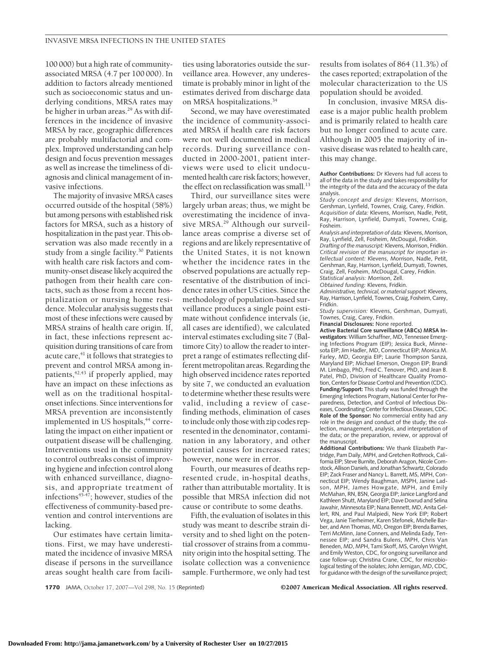100 000) but a high rate of communityassociated MRSA (4.7 per 100 000). In addition to factors already mentioned such as socioeconomic status and underlying conditions, MRSA rates may be higher in urban areas.<sup>29</sup> As with differences in the incidence of invasive MRSA by race, geographic differences are probably multifactorial and complex. Improved understanding can help design and focus prevention messages as well as increase the timeliness of diagnosis and clinical management of invasive infections.

The majority of invasive MRSA cases occurred outside of the hospital (58%) but among persons with established risk factors for MRSA, such as a history of hospitalization in the past year. This observation was also made recently in a study from a single facility.30 Patients with health care risk factors and community-onset disease likely acquired the pathogen from their health care contacts, such as those from a recent hospitalization or nursing home residence. Molecular analysis suggests that most of these infections were caused by MRSA strains of health care origin. If, in fact, these infections represent acquisition during transitions of care from acute care,<sup>41</sup> it follows that strategies to prevent and control MRSA among inpatients, $42,43$  if properly applied, may have an impact on these infections as well as on the traditional hospitalonset infections. Since interventions for MRSA prevention are inconsistently implemented in US hospitals,<sup>44</sup> correlating the impact on either inpatient or outpatient disease will be challenging. Interventions used in the community to control outbreaks consist of improving hygiene and infection control along with enhanced surveillance, diagnosis, and appropriate treatment of infections<sup>45-47</sup>; however, studies of the effectiveness of community-based prevention and control interventions are lacking.

Our estimates have certain limitations. First, we may have underestimated the incidence of invasive MRSA disease if persons in the surveillance areas sought health care from facilities using laboratories outside the surveillance area. However, any underestimate is probably minor in light of the estimates derived from discharge data on MRSA hospitalizations.34

Second, we may have overestimated the incidence of community-associated MRSA if health care risk factors were not well documented in medical records. During surveillance conducted in 2000-2001, patient interviews were used to elicit undocumented health care risk factors; however, the effect on reclassification was small. $^{13}$ 

Third, our surveillance sites were largely urban areas; thus, we might be overestimating the incidence of invasive MRSA.29 Although our surveillance areas comprise a diverse set of regions and are likely representative of the United States, it is not known whether the incidence rates in the observed populations are actually representative of the distribution of incidence rates in other US cities. Since the methodology of population-based surveillance produces a single point estimate without confidence intervals (ie, all cases are identified), we calculated interval estimates excluding site 7 (Baltimore City) to allow the reader to interpret a range of estimates reflecting differentmetropolitan areas. Regarding the high observed incidence rates reported by site 7, we conducted an evaluation to determine whether these results were valid, including a review of casefinding methods, elimination of cases to include only those with zip codes represented in the denominator, contamination in any laboratory, and other potential causes for increased rates; however, none were in error.

Fourth, our measures of deaths represented crude, in-hospital deaths, rather than attributable mortality. It is possible that MRSA infection did not cause or contribute to some deaths.

Fifth, the evaluation of isolates in this study was meant to describe strain diversity and to shed light on the potential crossover of strains from a community origin into the hospital setting. The isolate collection was a convenience sample. Furthermore, we only had test results from isolates of 864 (11.3%) of the cases reported; extrapolation of the molecular characterization to the US population should be avoided.

In conclusion, invasive MRSA disease is a major public health problem and is primarily related to health care but no longer confined to acute care. Although in 2005 the majority of invasive disease was related to health care, this may change.

**Author Contributions:** Dr Klevens had full access to all of the data in the study and takes responsibility for the integrity of the data and the accuracy of the data analysis.

*Study concept and design:* Klevens, Morrison, Gershman, Lynfield, Townes, Craig, Carey, Fridkin. *Acquisition of data:* Klevens, Morrison, Nadle, Petit, Ray, Harrison, Lynfield, Dumyati, Townes, Craig, Fosheim.

*Analysis and interpretation of data:* Klevens, Morrison, Ray, Lynfield, Zell, Fosheim, McDougal, Fridkin.

*Drafting of the manuscript:* Klevens, Morrison, Fridkin. *Critical revision of the manuscript for importan intellectual content:* Klevens, Morrison, Nadle, Petit, Gershman, Ray, Harrison, Lynfield, Dumyati, Townes, Craig, Zell, Fosheim, McDougal, Carey, Fridkin. *Statistical analysis:* Morrison, Zell.

*Obtained funding:* Klevens, Fridkin.

*Administrative, technical, or material support:* Klevens, Ray, Harrison, Lynfield, Townes, Craig, Fosheim, Carey, Fridkin.

*Study supervision:* Klevens, Gershman, Dumyati, Townes, Craig, Carey, Fridkin.

**Financial Disclosures:** None reported.

**Active Bacterial Core surveillance (ABCs) MRSA Investigators**: William Schaffner, MD, Tennessee Emerging Infections Program (EIP); Jessica Buck, Minnesota EIP; Jim Hadler, MD, Connecticut EIP; Monica M. Farley, MD, Georgia EIP; Laurie Thompson Sanza, Maryland EIP; Michael Emerson, Oregon EIP; Brandi M. Limbago, PhD, Fred C. Tenover, PhD, and Jean B. Patel, PhD, Division of Healthcare Quality Promotion, Centers for Disease Control and Prevention (CDC). **Funding/Support:** This study was funded through the Emerging Infections Program, National Center for Preparedness, Detection, and Control of Infectious Diseases, Coordinating Center for Infectious Diseases, CDC. **Role of the Sponsor:** No commercial entity had any role in the design and conduct of the study; the collection, management, analysis, and interpretation of the data; or the preparation, review, or approval of the manuscript.

**Additional Contributions:** We thank Elizabeth Partridge, Pam Daily, MPH, and Gretchen Rothrock, California EIP; Steve Burnite, Deborah Aragon, Nicole Comstock, Allison Daniels, and Jonathan Schwartz, Colorado EIP; Zack Fraser and Nancy L. Barrett, MS, MPH, Connecticut EIP; Wendy Baughman, MSPH, Janine Ladson, MPH, James Howgate, MPH, and Emily McMahan, RN, BSN, Georgia EIP; Janice Langford and Kathleen Shutt, Maryland EIP; Dave Doxrud and Selina Jawahir, Minnesota EIP; Nana Bennett, MD, Anita Gellert, RN, and Paul Malpiedi, New York EIP; Robert Vega, Janie Tierheimer, Karen Stefonek, Michelle Barber, and Ann Thomas, MD, Oregon EIP; Brenda Barnes, Terri McMinn, Jane Conners, and Melinda Eady, Tennessee EIP; and Sandra Bulens, MPH, Chris Van Beneden, MD, MPH, Tami Skoff, MS, Carolyn Wright, and Emily Weston, CDC, for ongoing surveillance and case follow-up; Christina Crane, CDC, for microbiological testing of the isolates; John Jernigan, MD, CDC, for guidance with the design of the surveillance project;